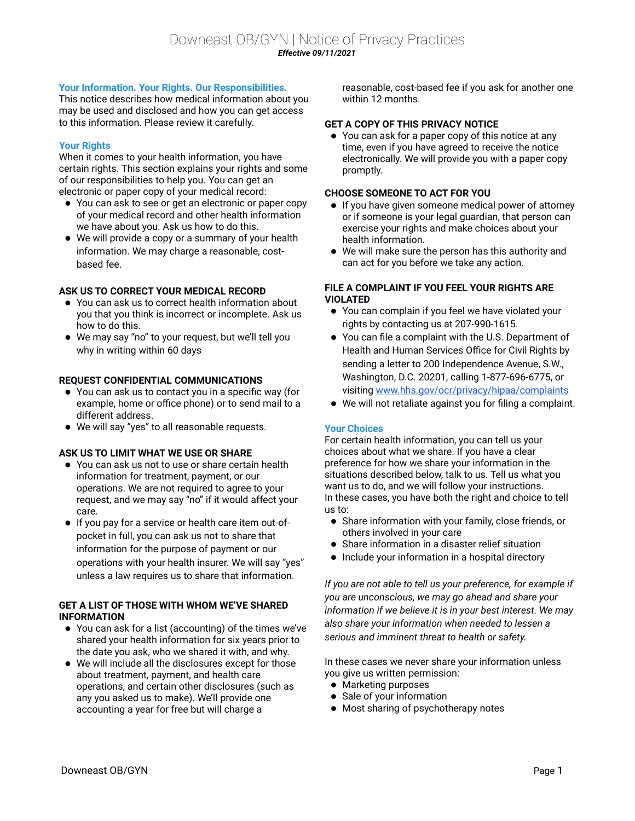# **Your Information. Your Rights. Our Responsibilities.**

This notice describes how medical information about you may be used and disclosed and how you can get access to this information. Please review it carefully.

# **Your Rights**

When it comes to your health information, you have certain rights. This section explains your rights and some of our responsibilities to help you. You can get an electronic or paper copy of your medical record:

- You can ask to see or get an electronic or paper copy of your medical record and other health information we have about you. Ask us how to do this.
- We will provide a copy or a summary of your health information. We may charge a reasonable, costbased fee.

# **ASK US TO CORRECT YOUR MEDICAL RECORD**

- You can ask us to correct health information about you that you think is incorrect or incomplete. Ask us how to do this.
- We may say "no" to your request, but we'll tell you why in writing within 60 days

# **REQUEST CONFIDENTIAL COMMUNICATIONS**

- You can ask us to contact you in a specific way (for example, home or office phone) or to send mail to a different address.
- We will say "yes" to all reasonable requests.

# **ASK US TO LIMIT WHAT WE USE OR SHARE**

- You can ask us not to use or share certain health information for treatment, payment, or our operations. We are not required to agree to your request, and we may say "no" if it would affect your care.
- If you pay for a service or health care item out-ofpocket in full, you can ask us not to share that information for the purpose of payment or our operations with your health insurer. We will say "yes" unless a law requires us to share that information.

### **GET A LIST OF THOSE WITH WHOM WE'VE SHARED INFORMATION**

- You can ask for a list (accounting) of the times we've shared your health information for six years prior to the date you ask, who we shared it with, and why.
- We will include all the disclosures except for those about treatment, payment, and health care operations, and certain other disclosures (such as any you asked us to make). We'll provide one accounting a year for free but will charge a

reasonable, cost-based fee if you ask for another one within 12 months.

### **GET A COPY OF THIS PRIVACY NOTICE**

 You can ask for a paper copy of this notice at any time, even if you have agreed to receive the notice electronically. We will provide you with a paper copy promptly.

# **CHOOSE SOMEONE TO ACT FOR YOU**

- If you have given someone medical power of attorney or if someone is your legal guardian, that person can exercise your rights and make choices about your health information.
- We will make sure the person has this authority and can act for you before we take any action.

### **FILE A COMPLAINT IF YOU FEEL YOUR RIGHTS ARE VIOLATED**

- You can complain if you feel we have violated your rights by contacting us at 207-990-1615.
- You can file a complaint with the U.S. Department of Health and Human Services Office for Civil Rights by sending a letter to 200 Independence Avenue, S.W., Washington, D.C. 20201, calling 1-877-696-6775, or visiting [www.hhs.gov/ocr/privacy/hipaa/complaints](http://www.hhs.gov/ocr/privacy/hipaa/complaints)
- We will not retaliate against you for filing a complaint.

#### **Your Choices**

For certain health information, you can tell us your choices about what we share. If you have a clear preference for how we share your information in the situations described below, talk to us. Tell us what you want us to do, and we will follow your instructions. In these cases, you have both the right and choice to tell us to:

- Share information with your family, close friends, or others involved in your care
- Share information in a disaster relief situation
- Include your information in a hospital directory

*If you are not able to tell us your preference, for example if you are unconscious, we may go ahead and share your information if we believe it is in your best interest. We may also share your information when needed to lessen a serious and imminent threat to health or safety.*

In these cases we never share your information unless you give us written permission:

- Marketing purposes
- Sale of your information
- Most sharing of psychotherapy notes